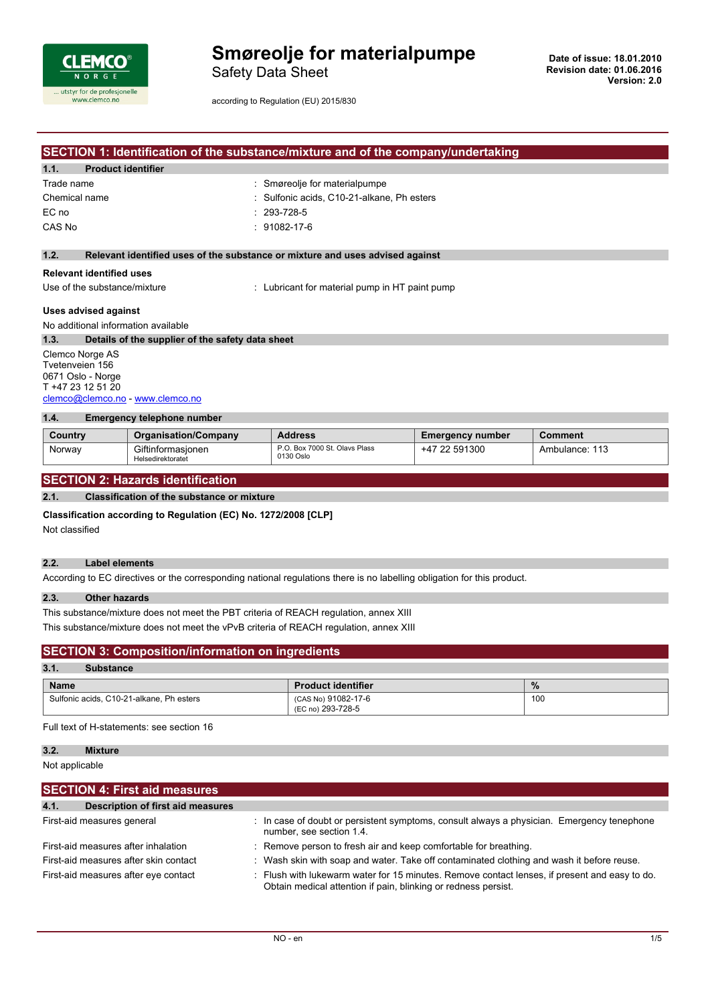

Safety Data Sheet

according to Regulation (EU) 2015/830

## **SECTION 1: Identification of the substance/mixture and of the company/undertaking**

| 1.1.<br><b>Product identifier</b> |                                            |
|-----------------------------------|--------------------------------------------|
| Trade name                        | : Smøreolje for materialpumpe              |
| Chemical name                     | : Sulfonic acids, C10-21-alkane, Ph esters |
| EC no                             | $: 293 - 728 - 5$                          |
| CAS No                            | $: 91082 - 17 - 6$                         |
|                                   |                                            |

### **1.2. Relevant identified uses of the substance or mixture and uses advised against**

#### **Relevant identified uses**

Use of the substance/mixture : Lubricant for material pump in HT paint pump

#### **Uses advised against**

No additional information available

**1.3. Details of the supplier of the safety data sheet**

Clemco Norge AS Tvetenveien 156 0671 Oslo - Norge T +47 23 12 51 20 [clemco@clemco.no](mailto:clemco@clemco.no) - <www.clemco.no>

#### **1.4. Emergency telephone number**

| Country | <b>Organisation/Company</b>            | <b>Address</b>                             | <b>Emergency number</b> | Comment        |
|---------|----------------------------------------|--------------------------------------------|-------------------------|----------------|
| Norway  | Giftinformasionen<br>Helsedirektoratet | P.O. Box 7000 St. Olavs Plass<br>0130 Oslo | 22 591300<br>+47        | Ambulance: 113 |

### **SECTION 2: Hazards identification**

#### **2.1. Classification of the substance or mixture**

#### **Classification according to Regulation (EC) No. 1272/2008 [CLP]**

Not classified

## **2.2. Label elements**

According to EC directives or the corresponding national regulations there is no labelling obligation for this product.

#### **2.3. Other hazards**

This substance/mixture does not meet the PBT criteria of REACH regulation, annex XIII

This substance/mixture does not meet the vPvB criteria of REACH regulation, annex XIII

### **SECTION 3: Composition/information on ingredients**

# **3.1. Substance**

| <b>Name</b>                              | <b>Product identifier</b>                | %   |
|------------------------------------------|------------------------------------------|-----|
| Sulfonic acids, C10-21-alkane, Ph esters | (CAS No) 91082-17-6<br>(EC no) 293-728-5 | 100 |

Full text of H-statements: see section 16

### **3.2. Mixture**

Not applicable

| <b>SECTION 4: First aid measures</b>      |                                                                                                                                                                 |
|-------------------------------------------|-----------------------------------------------------------------------------------------------------------------------------------------------------------------|
| 4.1.<br>Description of first aid measures |                                                                                                                                                                 |
|                                           |                                                                                                                                                                 |
| First-aid measures general                | $\therefore$ In case of doubt or persistent symptoms, consult always a physician. Emergency tenephone<br>number, see section 1.4.                               |
| First-aid measures after inhalation       | : Remove person to fresh air and keep comfortable for breathing.                                                                                                |
| First-aid measures after skin contact     | : Wash skin with soap and water. Take off contaminated clothing and wash it before reuse.                                                                       |
| First-aid measures after eye contact      | : Flush with lukewarm water for 15 minutes. Remove contact lenses, if present and easy to do.<br>Obtain medical attention if pain, blinking or redness persist. |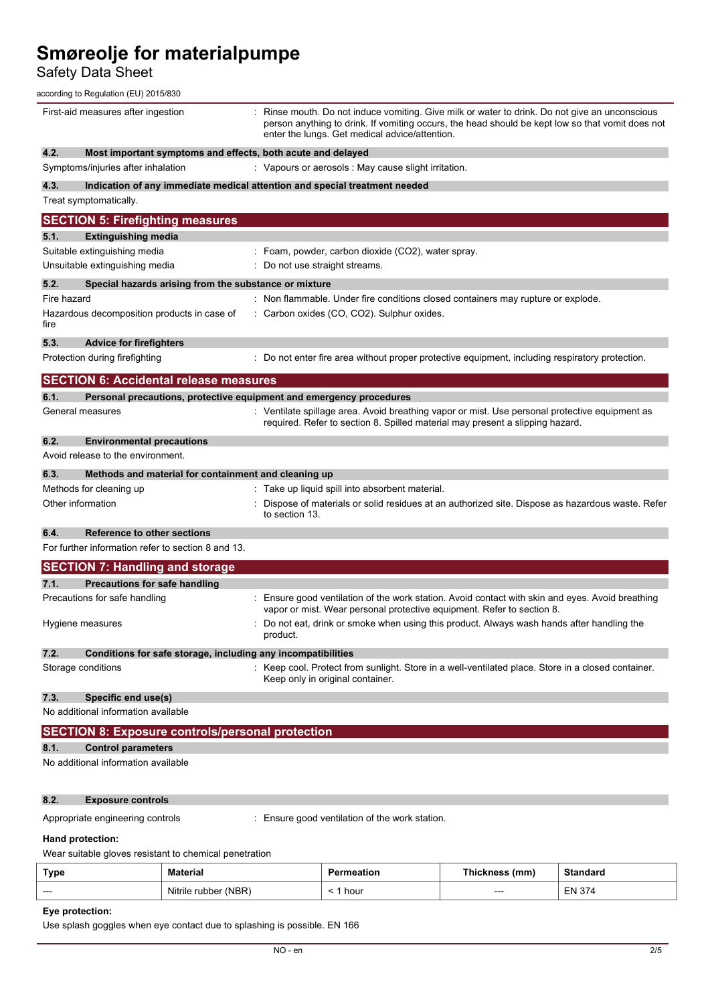Safety Data Sheet

according to Regulation (EU) 2015/830

| First-aid measures after ingestion                                          | Rinse mouth. Do not induce vomiting. Give milk or water to drink. Do not give an unconscious<br>person anything to drink. If vomiting occurs, the head should be kept low so that vomit does not<br>enter the lungs. Get medical advice/attention. |
|-----------------------------------------------------------------------------|----------------------------------------------------------------------------------------------------------------------------------------------------------------------------------------------------------------------------------------------------|
| 4.2.<br>Most important symptoms and effects, both acute and delayed         |                                                                                                                                                                                                                                                    |
| Symptoms/injuries after inhalation                                          | : Vapours or aerosols : May cause slight irritation.                                                                                                                                                                                               |
| 4.3.                                                                        | Indication of any immediate medical attention and special treatment needed                                                                                                                                                                         |
| Treat symptomatically.                                                      |                                                                                                                                                                                                                                                    |
| <b>SECTION 5: Firefighting measures</b>                                     |                                                                                                                                                                                                                                                    |
| <b>Extinguishing media</b><br>5.1.                                          |                                                                                                                                                                                                                                                    |
| Suitable extinguishing media                                                | : Foam, powder, carbon dioxide (CO2), water spray.                                                                                                                                                                                                 |
| Unsuitable extinguishing media                                              | : Do not use straight streams.                                                                                                                                                                                                                     |
| 5.2.<br>Special hazards arising from the substance or mixture               |                                                                                                                                                                                                                                                    |
| Fire hazard                                                                 | : Non flammable. Under fire conditions closed containers may rupture or explode.                                                                                                                                                                   |
| Hazardous decomposition products in case of                                 | : Carbon oxides (CO, CO2). Sulphur oxides.                                                                                                                                                                                                         |
| fire                                                                        |                                                                                                                                                                                                                                                    |
| 5.3.<br><b>Advice for firefighters</b>                                      |                                                                                                                                                                                                                                                    |
| Protection during firefighting                                              | : Do not enter fire area without proper protective equipment, including respiratory protection.                                                                                                                                                    |
|                                                                             |                                                                                                                                                                                                                                                    |
| <b>SECTION 6: Accidental release measures</b>                               |                                                                                                                                                                                                                                                    |
| Personal precautions, protective equipment and emergency procedures<br>6.1. |                                                                                                                                                                                                                                                    |
| General measures                                                            | : Ventilate spillage area. Avoid breathing vapor or mist. Use personal protective equipment as<br>required. Refer to section 8. Spilled material may present a slipping hazard.                                                                    |
| 6.2.<br><b>Environmental precautions</b>                                    |                                                                                                                                                                                                                                                    |
| Avoid release to the environment.                                           |                                                                                                                                                                                                                                                    |
| 6.3.<br>Methods and material for containment and cleaning up                |                                                                                                                                                                                                                                                    |
| Methods for cleaning up                                                     | Take up liquid spill into absorbent material.                                                                                                                                                                                                      |
| Other information                                                           | Dispose of materials or solid residues at an authorized site. Dispose as hazardous waste. Refer                                                                                                                                                    |
|                                                                             | to section 13.                                                                                                                                                                                                                                     |
| 6.4.<br><b>Reference to other sections</b>                                  |                                                                                                                                                                                                                                                    |
| For further information refer to section 8 and 13.                          |                                                                                                                                                                                                                                                    |
| <b>SECTION 7: Handling and storage</b>                                      |                                                                                                                                                                                                                                                    |
| Precautions for safe handling<br>7.1.                                       |                                                                                                                                                                                                                                                    |
| Precautions for safe handling                                               | Ensure good ventilation of the work station. Avoid contact with skin and eyes. Avoid breathing                                                                                                                                                     |
|                                                                             | vapor or mist. Wear personal protective equipment. Refer to section 8.                                                                                                                                                                             |
| Hygiene measures                                                            | Do not eat, drink or smoke when using this product. Always wash hands after handling the<br>product.                                                                                                                                               |
| 7.2.<br>Conditions for safe storage, including any incompatibilities        |                                                                                                                                                                                                                                                    |
| Storage conditions                                                          | : Keep cool. Protect from sunlight. Store in a well-ventilated place. Store in a closed container.<br>Keep only in original container.                                                                                                             |
| 7.3.<br>Specific end use(s)                                                 |                                                                                                                                                                                                                                                    |
| No additional information available                                         |                                                                                                                                                                                                                                                    |
| <b>SECTION 8: Exposure controls/personal protection</b>                     |                                                                                                                                                                                                                                                    |
| 8.1.<br><b>Control parameters</b>                                           |                                                                                                                                                                                                                                                    |
| No additional information available                                         |                                                                                                                                                                                                                                                    |
| 8.2.<br><b>Exposure controls</b>                                            |                                                                                                                                                                                                                                                    |
| Appropriate engineering controls                                            | Ensure good ventilation of the work station.                                                                                                                                                                                                       |
| Hand protection:<br>Wear suitable gloves resistant to chemical penetration  |                                                                                                                                                                                                                                                    |

# **Eye protection:**

Use splash goggles when eye contact due to splashing is possible. EN 166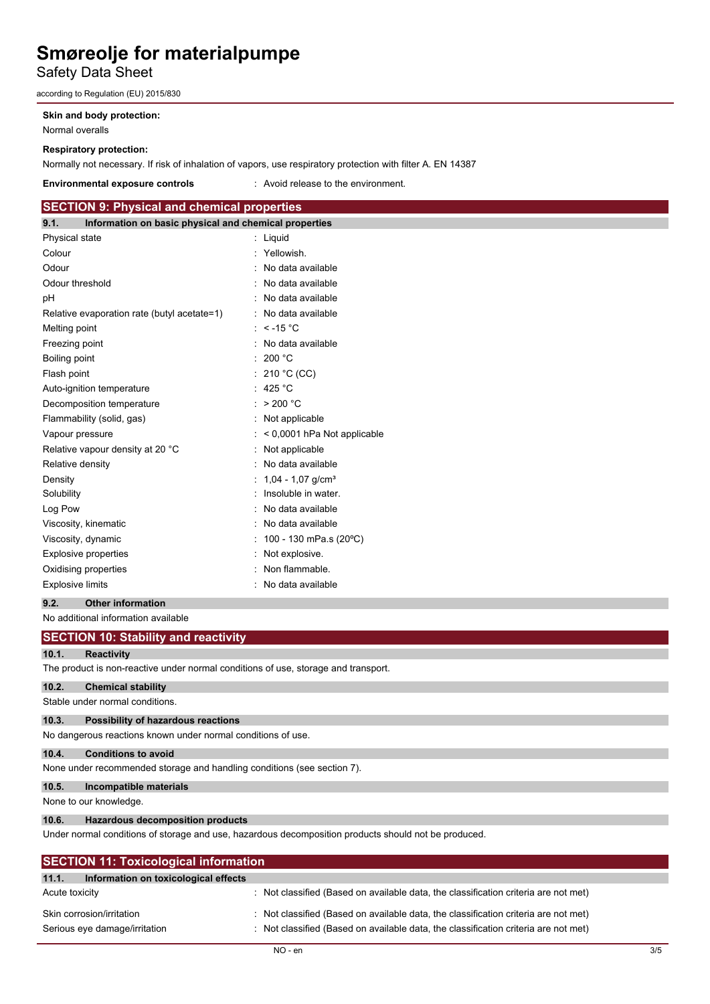# Safety Data Sheet

according to Regulation (EU) 2015/830

#### **Skin and body protection:**

Normal overalls

#### **Respiratory protection:**

Normally not necessary. If risk of inhalation of vapors, use respiratory protection with filter A. EN 14387

#### **Environmental exposure controls** : Avoid release to the environment.

| <b>SECTION 9: Physical and chemical properties</b> |                                                       |  |  |  |
|----------------------------------------------------|-------------------------------------------------------|--|--|--|
| 9.1.                                               | Information on basic physical and chemical properties |  |  |  |
| Physical state                                     | : Liquid                                              |  |  |  |
| Colour                                             | : Yellowish.                                          |  |  |  |
| Odour                                              | : No data available                                   |  |  |  |
| Odour threshold                                    | No data available                                     |  |  |  |
| рH                                                 | No data available                                     |  |  |  |
| Relative evaporation rate (butyl acetate=1)        | : No data available                                   |  |  |  |
| Melting point                                      | : $< -15$ °C                                          |  |  |  |
| Freezing point                                     | No data available                                     |  |  |  |
| Boiling point                                      | : 200 °C                                              |  |  |  |
| Flash point                                        | : 210 °C (CC)                                         |  |  |  |
| Auto-ignition temperature                          | 425 °C                                                |  |  |  |
| Decomposition temperature                          | : $>200$ °C                                           |  |  |  |
| Flammability (solid, gas)                          | Not applicable                                        |  |  |  |
| Vapour pressure                                    | < 0,0001 hPa Not applicable                           |  |  |  |
| Relative vapour density at 20 °C                   | Not applicable                                        |  |  |  |
| Relative density                                   | No data available                                     |  |  |  |
| Density                                            | 1,04 - 1,07 g/cm <sup>3</sup>                         |  |  |  |
| Solubility                                         | Insoluble in water.                                   |  |  |  |
| Log Pow                                            | No data available                                     |  |  |  |
| Viscosity, kinematic                               | No data available                                     |  |  |  |
| Viscosity, dynamic                                 | 100 - 130 mPa.s (20°C)                                |  |  |  |
| <b>Explosive properties</b>                        | Not explosive.                                        |  |  |  |
| Oxidising properties                               | Non flammable.                                        |  |  |  |
| <b>Explosive limits</b>                            | No data available                                     |  |  |  |

**9.2. Other information** No additional information available

|                | <b>SECTION 10: Stability and reactivity</b>                                                                    |
|----------------|----------------------------------------------------------------------------------------------------------------|
| 10.1.          | <b>Reactivity</b>                                                                                              |
|                | The product is non-reactive under normal conditions of use, storage and transport.                             |
| 10.2.          | <b>Chemical stability</b>                                                                                      |
|                | Stable under normal conditions.                                                                                |
| 10.3.          | Possibility of hazardous reactions                                                                             |
|                | No dangerous reactions known under normal conditions of use.                                                   |
| 10.4.          | <b>Conditions to avoid</b>                                                                                     |
|                | None under recommended storage and handling conditions (see section 7).                                        |
| 10.5.          | Incompatible materials                                                                                         |
|                | None to our knowledge.                                                                                         |
| 10.6.          | <b>Hazardous decomposition products</b>                                                                        |
|                | Under normal conditions of storage and use, hazardous decomposition products should not be produced.           |
|                | <b>SECTION 11: Toxicological information</b>                                                                   |
| 11.1.          | Information on toxicological effects                                                                           |
| Acute toxicity | Not classified (Based on available data, the classification criteria are not met)                              |
|                | Skin corrosion/irritation<br>Not classified (Based on available data, the classification criteria are not met) |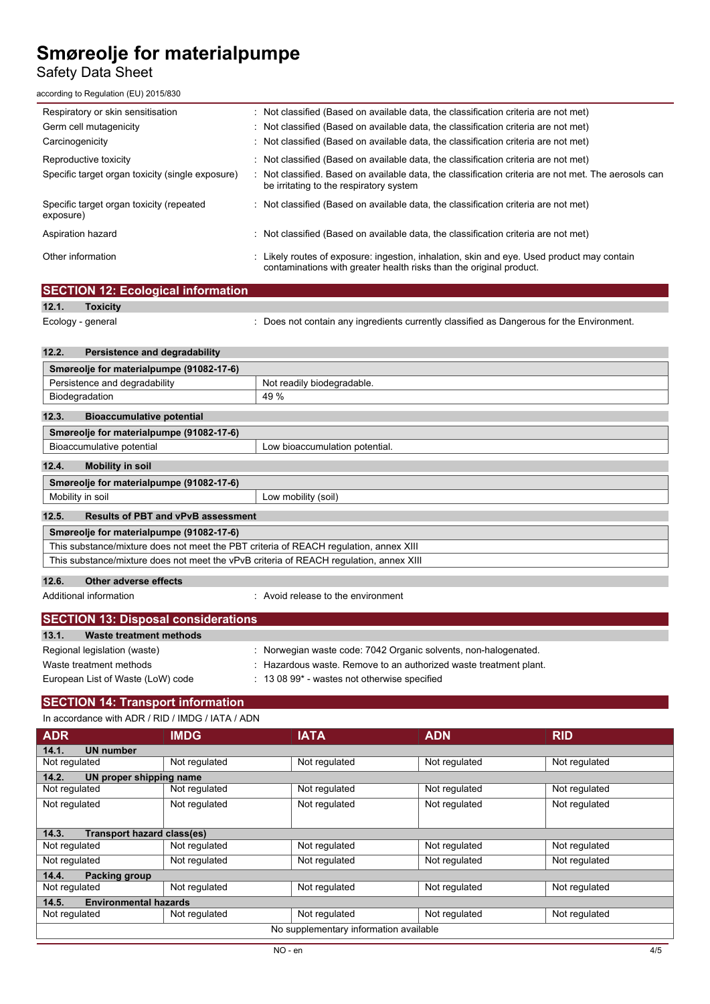# Safety Data Sheet

according to Regulation (EU) 2015/830

| Respiratory or skin sensitisation                     | : Not classified (Based on available data, the classification criteria are not met)                                                                             |
|-------------------------------------------------------|-----------------------------------------------------------------------------------------------------------------------------------------------------------------|
| Germ cell mutagenicity                                | : Not classified (Based on available data, the classification criteria are not met)                                                                             |
| Carcinogenicity                                       | : Not classified (Based on available data, the classification criteria are not met)                                                                             |
| Reproductive toxicity                                 | : Not classified (Based on available data, the classification criteria are not met)                                                                             |
| Specific target organ toxicity (single exposure)      | Not classified. Based on available data, the classification criteria are not met. The aerosols can<br>be irritating to the respiratory system                   |
| Specific target organ toxicity (repeated<br>exposure) | $\therefore$ Not classified (Based on available data, the classification criteria are not met)                                                                  |
| Aspiration hazard                                     | : Not classified (Based on available data, the classification criteria are not met)                                                                             |
| Other information                                     | Likely routes of exposure: ingestion, inhalation, skin and eye. Used product may contain<br>contaminations with greater health risks than the original product. |
| <b>SECTION 12: Ecological information</b>             |                                                                                                                                                                 |

| 12.1.                                                                                  | <b>Toxicity</b>                                             |                                                                                           |  |
|----------------------------------------------------------------------------------------|-------------------------------------------------------------|-------------------------------------------------------------------------------------------|--|
|                                                                                        | Ecology - general                                           | : Does not contain any ingredients currently classified as Dangerous for the Environment. |  |
|                                                                                        |                                                             |                                                                                           |  |
| 12.2.                                                                                  | Persistence and degradability                               |                                                                                           |  |
|                                                                                        | Smøreolje for materialpumpe (91082-17-6)                    |                                                                                           |  |
|                                                                                        | Persistence and degradability                               | Not readily biodegradable.                                                                |  |
|                                                                                        | Biodegradation                                              | 49 %                                                                                      |  |
| 12.3.                                                                                  | <b>Bioaccumulative potential</b>                            |                                                                                           |  |
|                                                                                        | Smøreolje for materialpumpe (91082-17-6)                    |                                                                                           |  |
|                                                                                        | Bioaccumulative potential<br>Low bioaccumulation potential. |                                                                                           |  |
| 12.4.                                                                                  | <b>Mobility in soil</b>                                     |                                                                                           |  |
|                                                                                        | Smøreolje for materialpumpe (91082-17-6)                    |                                                                                           |  |
|                                                                                        | Mobility in soil                                            | Low mobility (soil)                                                                       |  |
| 12.5.                                                                                  | <b>Results of PBT and vPvB assessment</b>                   |                                                                                           |  |
| Smøreolje for materialpumpe (91082-17-6)                                               |                                                             |                                                                                           |  |
| This substance/mixture does not meet the PBT criteria of REACH regulation, annex XIII  |                                                             |                                                                                           |  |
| This substance/mixture does not meet the vPvB criteria of REACH regulation, annex XIII |                                                             |                                                                                           |  |
| 12.6.                                                                                  | Other adverse effects                                       |                                                                                           |  |
|                                                                                        |                                                             |                                                                                           |  |
|                                                                                        | Additional information                                      | Avoid release to the environment                                                          |  |

| <b>SECTION 13: Disposal considerations</b> |                                                                   |  |
|--------------------------------------------|-------------------------------------------------------------------|--|
| 13.1.<br>Waste treatment methods           |                                                                   |  |
| Regional legislation (waste)               | : Norwegian waste code: 7042 Organic solvents, non-halogenated.   |  |
| Waste treatment methods                    | : Hazardous waste. Remove to an authorized waste treatment plant. |  |
| European List of Waste (LoW) code          | $\div$ 13 08 99 $^*$ - wastes not otherwise specified             |  |

# **SECTION 14: Transport information**

#### In accordance with ADR / RID / IMDG / IATA / ADN

| <b>ADR</b>                                 | <b>IMDG</b>   | <b>IATA</b>   | <b>ADN</b>    | <b>RID</b>    |  |  |
|--------------------------------------------|---------------|---------------|---------------|---------------|--|--|
| 14.1.<br><b>UN number</b>                  |               |               |               |               |  |  |
| Not regulated                              | Not regulated | Not regulated | Not regulated | Not regulated |  |  |
| 14.2.<br>UN proper shipping name           |               |               |               |               |  |  |
| Not regulated                              | Not regulated | Not regulated | Not regulated | Not regulated |  |  |
| Not regulated                              | Not regulated | Not regulated | Not regulated | Not regulated |  |  |
|                                            |               |               |               |               |  |  |
| <b>Transport hazard class(es)</b><br>14.3. |               |               |               |               |  |  |
| Not regulated                              | Not regulated | Not regulated | Not regulated | Not regulated |  |  |
| Not regulated                              | Not regulated | Not regulated | Not regulated | Not regulated |  |  |
| Packing group<br>14.4.                     |               |               |               |               |  |  |
| Not regulated                              | Not regulated | Not regulated | Not regulated | Not regulated |  |  |
| <b>Environmental hazards</b><br>14.5.      |               |               |               |               |  |  |
| Not regulated                              | Not regulated | Not regulated | Not regulated | Not regulated |  |  |
| No supplementary information available     |               |               |               |               |  |  |